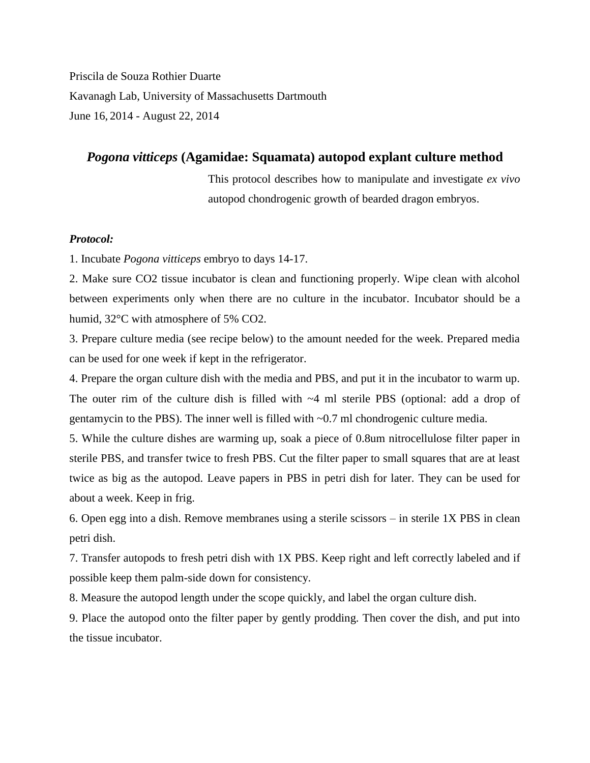Priscila de Souza Rothier Duarte Kavanagh Lab, University of Massachusetts Dartmouth June 16, 2014 - August 22, 2014

# *Pogona vitticeps* **(Agamidae: Squamata) autopod explant culture method**

This protocol describes how to manipulate and investigate *ex vivo* autopod chondrogenic growth of bearded dragon embryos.

## *Protocol:*

1. Incubate *Pogona vitticeps* embryo to days 14-17.

2. Make sure CO2 tissue incubator is clean and functioning properly. Wipe clean with alcohol between experiments only when there are no culture in the incubator. Incubator should be a humid, 32°C with atmosphere of 5% CO2.

3. Prepare culture media (see recipe below) to the amount needed for the week. Prepared media can be used for one week if kept in the refrigerator.

4. Prepare the organ culture dish with the media and PBS, and put it in the incubator to warm up. The outer rim of the culture dish is filled with  $-4$  ml sterile PBS (optional: add a drop of gentamycin to the PBS). The inner well is filled with ~0.7 ml chondrogenic culture media.

5. While the culture dishes are warming up, soak a piece of 0.8um nitrocellulose filter paper in sterile PBS, and transfer twice to fresh PBS. Cut the filter paper to small squares that are at least twice as big as the autopod. Leave papers in PBS in petri dish for later. They can be used for about a week. Keep in frig.

6. Open egg into a dish. Remove membranes using a sterile scissors – in sterile 1X PBS in clean petri dish.

7. Transfer autopods to fresh petri dish with 1X PBS. Keep right and left correctly labeled and if possible keep them palm-side down for consistency.

8. Measure the autopod length under the scope quickly, and label the organ culture dish.

9. Place the autopod onto the filter paper by gently prodding. Then cover the dish, and put into the tissue incubator.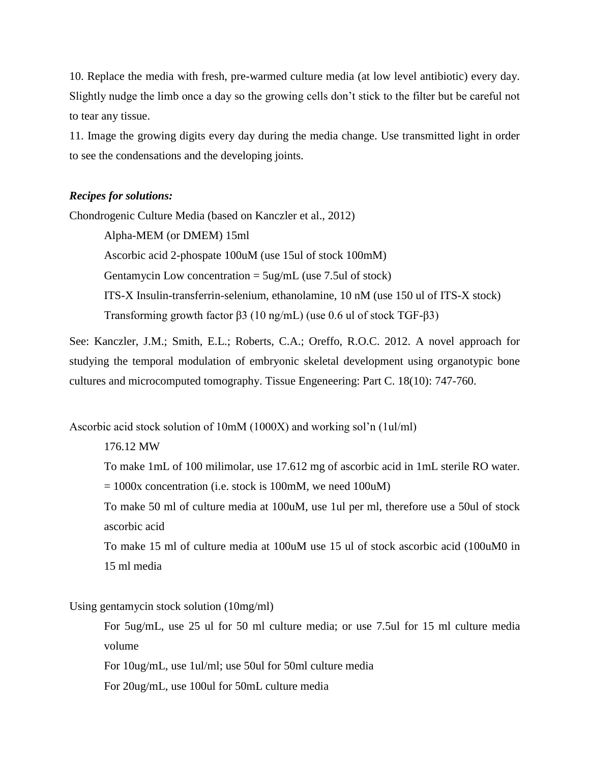10. Replace the media with fresh, pre-warmed culture media (at low level antibiotic) every day. Slightly nudge the limb once a day so the growing cells don't stick to the filter but be careful not to tear any tissue.

11. Image the growing digits every day during the media change. Use transmitted light in order to see the condensations and the developing joints.

#### *Recipes for solutions:*

Chondrogenic Culture Media (based on Kanczler et al., 2012)

Alpha-MEM (or DMEM) 15ml Ascorbic acid 2-phospate 100uM (use 15ul of stock 100mM) Gentamycin Low concentration  $= 5\mu g/mL$  (use 7.5ul of stock) ITS-X Insulin-transferrin-selenium, ethanolamine, 10 nM (use 150 ul of ITS-X stock) Transforming growth factor β3 (10 ng/mL) (use 0.6 ul of stock TGF-β3)

See: Kanczler, J.M.; Smith, E.L.; Roberts, C.A.; Oreffo, R.O.C. 2012. A novel approach for studying the temporal modulation of embryonic skeletal development using organotypic bone cultures and microcomputed tomography. Tissue Engeneering: Part C. 18(10): 747-760.

Ascorbic acid stock solution of 10mM (1000X) and working sol'n (1ul/ml)

## 176.12 MW

To make 1mL of 100 milimolar, use 17.612 mg of ascorbic acid in 1mL sterile RO water.

 $= 1000x$  concentration (i.e. stock is 100mM, we need 100uM)

To make 50 ml of culture media at 100uM, use 1ul per ml, therefore use a 50ul of stock ascorbic acid

To make 15 ml of culture media at 100uM use 15 ul of stock ascorbic acid (100uM0 in 15 ml media

#### Using gentamycin stock solution (10mg/ml)

For 5ug/mL, use 25 ul for 50 ml culture media; or use 7.5ul for 15 ml culture media volume

For 10ug/mL, use 1ul/ml; use 50ul for 50ml culture media

For 20ug/mL, use 100ul for 50mL culture media